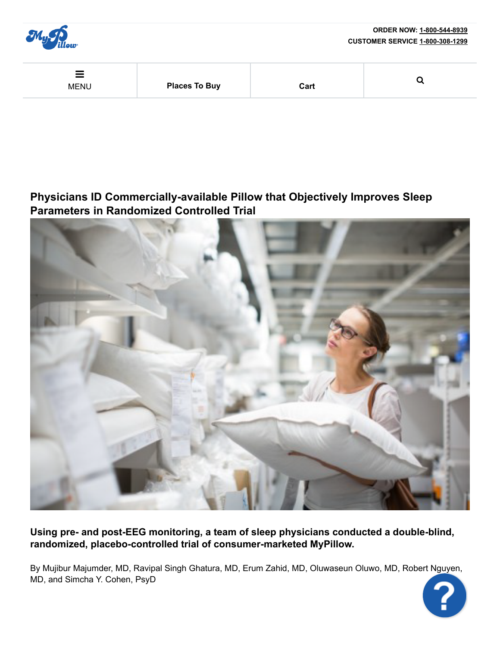

# **Physicians ID Commercially-available Pillow that Objectively Improves Sleep Parameters in Randomized Controlled Trial**



Using pre- and post-EEG monitoring, a team of sleep physicians conducted a double-blind, randomized, placebo-controlled trial of consumer-marketed MyPillow.

By Mujibur Majumder, MD, Ravipal Singh Ghatura, MD, Erum Zahid, MD, Oluwaseun Oluwo, MD, Robert Nguyen, MD, and Simcha Y. Cohen, PsyD

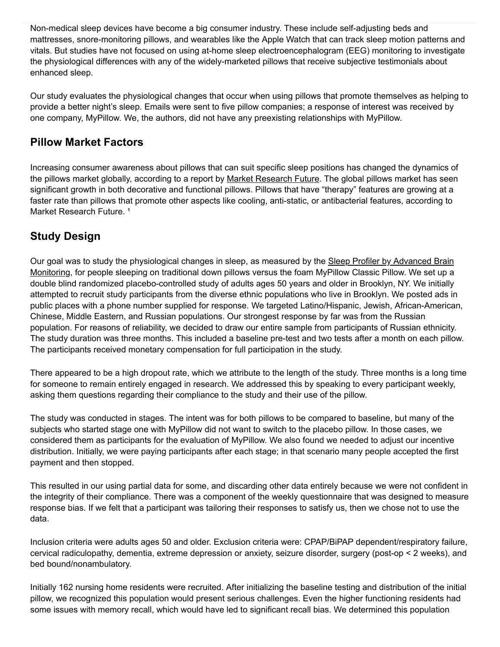Non-medical sleep devices have become a big consumer industry. These include self-adjusting beds and mattresses, snore-monitoring pillows, and wearables like the Apple Watch that can track sleep motion patterns and vitals. But studies have not focused on using athome sleep electroencephalogram (EEG) monitoring to investigate the physiological differences with any of the widely-marketed pillows that receive subjective testimonials about enhanced sleep.

Our study evaluates the physiological changes that occur when using pillows that promote themselves as helping to provide a better night's sleep. Emails were sent to five pillow companies; a response of interest was received by one company, MyPillow. We, the authors, did not have any preexisting relationships with MyPillow.

### **Pillow Market Factors**

Increasing consumer awareness about pillows that can suit specific sleep positions has changed the dynamics of the pillows market globally, according to a report by Market Research Future. The global pillows market has seen significant growth in both decorative and functional pillows. Pillows that have "therapy" features are growing at a faster rate than pillows that promote other aspects like cooling, anti-static, or antibacterial features, according to Market Research Future.<sup>1</sup>

# **Study Design**

Our goal was to study the physiological changes in sleep, as measured by the Sleep Profiler by Advanced Brain Monitoring, for people sleeping on traditional down pillows versus the foam MyPillow Classic Pillow. We set up a double blind randomized placebo-controlled study of adults ages 50 years and older in Brooklyn, NY. We initially attempted to recruit study participants from the diverse ethnic populations who live in Brooklyn. We posted ads in public places with a phone number supplied for response. We targeted Latino/Hispanic, Jewish, African-American, Chinese, Middle Eastern, and Russian populations. Our strongest response by far was from the Russian population. For reasons of reliability, we decided to draw our entire sample from participants of Russian ethnicity. The study duration was three months. This included a baseline pre-test and two tests after a month on each pillow. The participants received monetary compensation for full participation in the study.

There appeared to be a high dropout rate, which we attribute to the length of the study. Three months is a long time for someone to remain entirely engaged in research. We addressed this by speaking to every participant weekly, asking them questions regarding their compliance to the study and their use of the pillow.

The study was conducted in stages. The intent was for both pillows to be compared to baseline, but many of the subjects who started stage one with MyPillow did not want to switch to the placebo pillow. In those cases, we considered them as participants for the evaluation of MyPillow. We also found we needed to adjust our incentive distribution. Initially, we were paying participants after each stage; in that scenario many people accepted the first payment and then stopped.

This resulted in our using partial data for some, and discarding other data entirely because we were not confident in the integrity of their compliance. There was a component of the weekly questionnaire that was designed to measure response bias. If we felt that a participant was tailoring their responses to satisfy us, then we chose not to use the data.

Inclusion criteria were adults ages 50 and older. Exclusion criteria were: CPAP/BiPAP dependent/respiratory failure, cervical radiculopathy, dementia, extreme depression or anxiety, seizure disorder, surgery (post-op  $\leq 2$  weeks), and bed bound/nonambulatory.

Initially 162 nursing home residents were recruited. After initializing the baseline testing and distribution of the initial pillow, we recognized this population would present serious challenges. Even the higher functioning residents had some issues with memory recall, which would have led to significant recall bias. We determined this population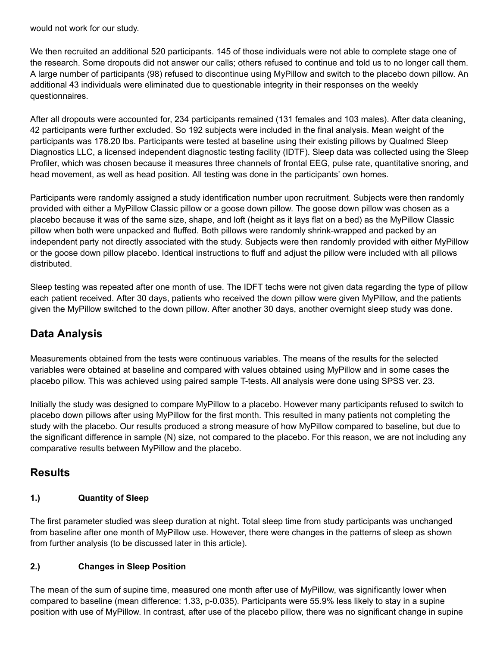would not work for our study.

We then recruited an additional 520 participants. 145 of those individuals were not able to complete stage one of the research. Some dropouts did not answer our calls; others refused to continue and told us to no longer call them. A large number of participants (98) refused to discontinue using MyPillow and switch to the placebo down pillow. An additional 43 individuals were eliminated due to questionable integrity in their responses on the weekly questionnaires.

After all dropouts were accounted for, 234 participants remained (131 females and 103 males). After data cleaning, 42 participants were further excluded. So 192 subjects were included in the final analysis. Mean weight of the participants was 178.20 lbs. Participants were tested at baseline using their existing pillows by Qualmed Sleep Diagnostics LLC, a licensed independent diagnostic testing facility (IDTF). Sleep data was collected using the Sleep Profiler, which was chosen because it measures three channels of frontal EEG, pulse rate, quantitative snoring, and head movement, as well as head position. All testing was done in the participants' own homes.

Participants were randomly assigned a study identification number upon recruitment. Subjects were then randomly provided with either a MyPillow Classic pillow or a goose down pillow. The goose down pillow was chosen as a placebo because it was of the same size, shape, and loft (height as it lays flat on a bed) as the MyPillow Classic pillow when both were unpacked and fluffed. Both pillows were randomly shrink-wrapped and packed by an independent party not directly associated with the study. Subjects were then randomly provided with either MyPillow or the goose down pillow placebo. Identical instructions to fluff and adjust the pillow were included with all pillows distributed.

Sleep testing was repeated after one month of use. The IDFT techs were not given data regarding the type of pillow each patient received. After 30 days, patients who received the down pillow were given MyPillow, and the patients given the MyPillow switched to the down pillow. After another 30 days, another overnight sleep study was done.

## **Data Analysis**

Measurements obtained from the tests were continuous variables. The means of the results for the selected variables were obtained at baseline and compared with values obtained using MyPillow and in some cases the placebo pillow. This was achieved using paired sample T-tests. All analysis were done using SPSS ver. 23.

Initially the study was designed to compare MyPillow to a placebo. However many participants refused to switch to placebo down pillows after using MyPillow for the first month. This resulted in many patients not completing the study with the placebo. Our results produced a strong measure of how MyPillow compared to baseline, but due to the significant difference in sample (N) size, not compared to the placebo. For this reason, we are not including any comparative results between MyPillow and the placebo.

## **Results**

#### **1.) Quantity of Sleep**

The first parameter studied was sleep duration at night. Total sleep time from study participants was unchanged from baseline after one month of MyPillow use. However, there were changes in the patterns of sleep as shown from further analysis (to be discussed later in this article).

#### **2.) Changes in Sleep Position**

The mean of the sum of supine time, measured one month after use of MyPillow, was significantly lower when compared to baseline (mean difference: 1.33, p-0.035). Participants were 55.9% less likely to stay in a supine position with use of MyPillow. In contrast, after use of the placebo pillow, there was no significant change in supine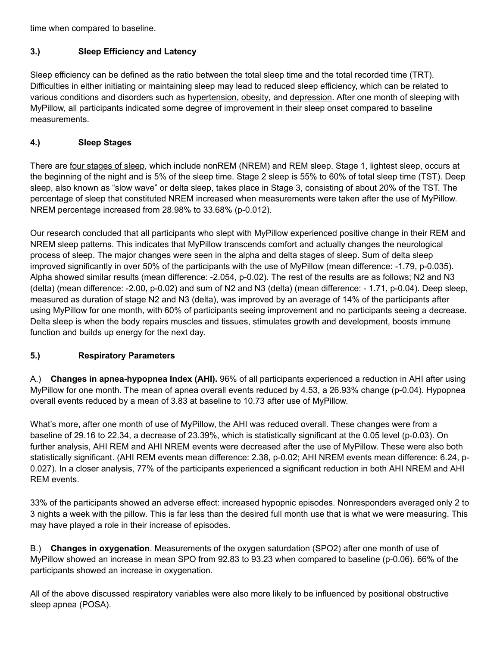time when compared to baseline.

#### **3.) Sleep Efficiency and Latency**

Sleep efficiency can be defined as the ratio between the total sleep time and the total recorded time (TRT). Difficulties in either initiating or maintaining sleep may lead to reduced sleep efficiency, which can be related to various conditions and disorders such as hypertension, obesity, and depression. After one month of sleeping with MyPillow, all participants indicated some degree of improvement in their sleep onset compared to baseline measurements.

### **4.) Sleep Stages**

There are four stages of sleep, which include nonREM (NREM) and REM sleep. Stage 1, lightest sleep, occurs at the beginning of the night and is 5% of the sleep time. Stage 2 sleep is 55% to 60% of total sleep time (TST). Deep sleep, also known as "slow wave" or delta sleep, takes place in Stage 3, consisting of about 20% of the TST. The percentage of sleep that constituted NREM increased when measurements were taken after the use of MyPillow. NREM percentage increased from  $28.98\%$  to  $33.68\%$  (p-0.012).

Our research concluded that all participants who slept with MyPillow experienced positive change in their REM and NREM sleep patterns. This indicates that MyPillow transcends comfort and actually changes the neurological process of sleep. The major changes were seen in the alpha and delta stages of sleep. Sum of delta sleep improved significantly in over 50% of the participants with the use of MyPillow (mean difference: -1.79, p-0.035). Alpha showed similar results (mean difference: -2.054, p-0.02). The rest of the results are as follows; N2 and N3 (delta) (mean difference:  $-2.00$ , p $-0.02$ ) and sum of N2 and N3 (delta) (mean difference:  $-1.71$ , p $-0.04$ ). Deep sleep, measured as duration of stage N2 and N3 (delta), was improved by an average of 14% of the participants after using MyPillow for one month, with 60% of participants seeing improvement and no participants seeing a decrease. Delta sleep is when the body repairs muscles and tissues, stimulates growth and development, boosts immune function and builds up energy for the next day.

#### **5.) Respiratory Parameters**

A.) **Changes in apneahypopnea Index (AHI).** 96% of all participants experienced a reduction in AHI after using MyPillow for one month. The mean of apnea overall events reduced by 4.53, a 26.93% change (p-0.04). Hypopnea overall events reduced by a mean of 3.83 at baseline to 10.73 after use of MyPillow.

What's more, after one month of use of MyPillow, the AHI was reduced overall. These changes were from a baseline of 29.16 to 22.34, a decrease of 23.39%, which is statistically significant at the 0.05 level (p-0.03). On further analysis, AHI REM and AHI NREM events were decreased after the use of MyPillow. These were also both statistically significant. (AHI REM events mean difference: 2.38, p-0.02; AHI NREM events mean difference: 6.24, p-0.027). In a closer analysis, 77% of the participants experienced a significant reduction in both AHI NREM and AHI REM events.

33% of the participants showed an adverse effect: increased hypopnic episodes. Nonresponders averaged only 2 to 3 nights a week with the pillow. This is far less than the desired full month use that is what we were measuring. This may have played a role in their increase of episodes.

B.) **Changes in oxygenation**. Measurements of the oxygen saturdation (SPO2) after one month of use of MyPillow showed an increase in mean SPO from  $92.83$  to  $93.23$  when compared to baseline ( $p-0.06$ ). 66% of the participants showed an increase in oxygenation.

All of the above discussed respiratory variables were also more likely to be influenced by positional obstructive sleep apnea (POSA).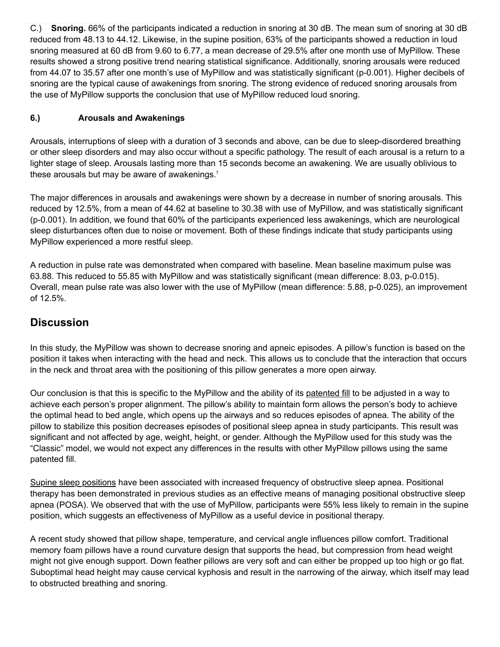C.) **Snoring.** 66% of the participants indicated a reduction in snoring at 30 dB. The mean sum of snoring at 30 dB reduced from 48.13 to 44.12. Likewise, in the supine position, 63% of the participants showed a reduction in loud snoring measured at 60 dB from 9.60 to 6.77, a mean decrease of 29.5% after one month use of MyPillow. These results showed a strong positive trend nearing statistical significance. Additionally, snoring arousals were reduced from 44.07 to 35.57 after one month's use of MyPillow and was statistically significant (p-0.001). Higher decibels of snoring are the typical cause of awakenings from snoring. The strong evidence of reduced snoring arousals from the use of MyPillow supports the conclusion that use of MyPillow reduced loud snoring.

#### **6.) Arousals and Awakenings**

Arousals, interruptions of sleep with a duration of 3 seconds and above, can be due to sleep-disordered breathing or other sleep disorders and may also occur without a specific pathology. The result of each arousal is a return to a lighter stage of sleep. Arousals lasting more than 15 seconds become an awakening. We are usually oblivious to these arousals but may be aware of awakenings.<sup>7</sup>

The major differences in arousals and awakenings were shown by a decrease in number of snoring arousals. This reduced by 12.5%, from a mean of 44.62 at baseline to 30.38 with use of MyPillow, and was statistically significant (p-0.001). In addition, we found that 60% of the participants experienced less awakenings, which are neurological sleep disturbances often due to noise or movement. Both of these findings indicate that study participants using MyPillow experienced a more restful sleep.

A reduction in pulse rate was demonstrated when compared with baseline. Mean baseline maximum pulse was 63.88. This reduced to 55.85 with MyPillow and was statistically significant (mean difference: 8.03, p-0.015). Overall, mean pulse rate was also lower with the use of MyPillow (mean difference: 5.88, p-0.025), an improvement of 12.5%.

### **Discussion**

In this study, the MyPillow was shown to decrease snoring and apneic episodes. A pillow's function is based on the position it takes when interacting with the head and neck. This allows us to conclude that the interaction that occurs in the neck and throat area with the positioning of this pillow generates a more open airway.

Our conclusion is that this is specific to the MyPillow and the ability of its patented fill to be adjusted in a way to achieve each person's proper alignment. The pillow's ability to maintain form allows the person's body to achieve the optimal head to bed angle, which opens up the airways and so reduces episodes of apnea. The ability of the pillow to stabilize this position decreases episodes of positional sleep apnea in study participants. This result was significant and not affected by age, weight, height, or gender. Although the MyPillow used for this study was the "Classic" model, we would not expect any differences in the results with other MyPillow pillows using the same patented fill.

Supine sleep positions have been associated with increased frequency of obstructive sleep apnea. Positional therapy has been demonstrated in previous studies as an effective means of managing positional obstructive sleep apnea (POSA). We observed that with the use of MyPillow, participants were 55% less likely to remain in the supine position, which suggests an effectiveness of MyPillow as a useful device in positional therapy.

A recent study showed that pillow shape, temperature, and cervical angle influences pillow comfort. Traditional memory foam pillows have a round curvature design that supports the head, but compression from head weight might not give enough support. Down feather pillows are very soft and can either be propped up too high or go flat. Suboptimal head height may cause cervical kyphosis and result in the narrowing of the airway, which itself may lead to obstructed breathing and snoring.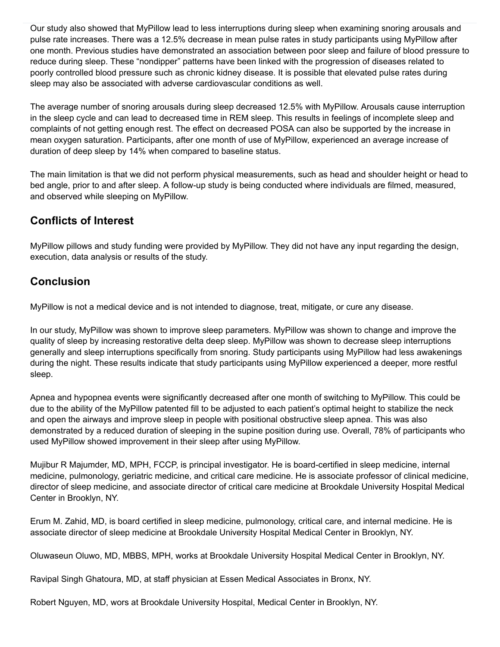Our study also showed that MyPillow lead to less interruptions during sleep when examining snoring arousals and pulse rate increases. There was a 12.5% decrease in mean pulse rates in study participants using MyPillow after one month. Previous studies have demonstrated an association between poor sleep and failure of blood pressure to reduce during sleep. These "nondipper" patterns have been linked with the progression of diseases related to poorly controlled blood pressure such as chronic kidney disease. It is possible that elevated pulse rates during sleep may also be associated with adverse cardiovascular conditions as well.

The average number of snoring arousals during sleep decreased 12.5% with MyPillow. Arousals cause interruption in the sleep cycle and can lead to decreased time in REM sleep. This results in feelings of incomplete sleep and complaints of not getting enough rest. The effect on decreased POSA can also be supported by the increase in mean oxygen saturation. Participants, after one month of use of MyPillow, experienced an average increase of duration of deep sleep by 14% when compared to baseline status.

The main limitation is that we did not perform physical measurements, such as head and shoulder height or head to bed angle, prior to and after sleep. A follow-up study is being conducted where individuals are filmed, measured, and observed while sleeping on MyPillow.

## **Conflicts of Interest**

MyPillow pillows and study funding were provided by MyPillow. They did not have any input regarding the design, execution, data analysis or results of the study.

## **Conclusion**

MyPillow is not a medical device and is not intended to diagnose, treat, mitigate, or cure any disease.

In our study, MyPillow was shown to improve sleep parameters. MyPillow was shown to change and improve the quality of sleep by increasing restorative delta deep sleep. MyPillow was shown to decrease sleep interruptions generally and sleep interruptions specifically from snoring. Study participants using MyPillow had less awakenings during the night. These results indicate that study participants using MyPillow experienced a deeper, more restful sleep.

Apnea and hypopnea events were significantly decreased after one month of switching to MyPillow. This could be due to the ability of the MyPillow patented fill to be adjusted to each patient's optimal height to stabilize the neck and open the airways and improve sleep in people with positional obstructive sleep apnea. This was also demonstrated by a reduced duration of sleeping in the supine position during use. Overall, 78% of participants who used MyPillow showed improvement in their sleep after using MyPillow.

Mujibur R Majumder, MD, MPH, FCCP, is principal investigator. He is board-certified in sleep medicine, internal medicine, pulmonology, geriatric medicine, and critical care medicine. He is associate professor of clinical medicine, director of sleep medicine, and associate director of critical care medicine at Brookdale University Hospital Medical Center in Brooklyn, NY.

Erum M. Zahid, MD, is board certified in sleep medicine, pulmonology, critical care, and internal medicine. He is associate director of sleep medicine at Brookdale University Hospital Medical Center in Brooklyn, NY.

Oluwaseun Oluwo, MD, MBBS, MPH, works at Brookdale University Hospital Medical Center in Brooklyn, NY.

Ravipal Singh Ghatoura, MD, at staff physician at Essen Medical Associates in Bronx, NY.

Robert Nguyen, MD, wors at Brookdale University Hospital, Medical Center in Brooklyn, NY.